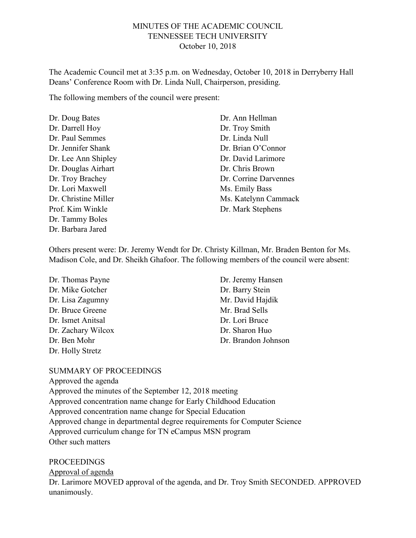### MINUTES OF THE ACADEMIC COUNCIL TENNESSEE TECH UNIVERSITY October 10, 2018

The Academic Council met at 3:35 p.m. on Wednesday, October 10, 2018 in Derryberry Hall Deans' Conference Room with Dr. Linda Null, Chairperson, presiding.

The following members of the council were present:

Dr. Doug Bates Dr. Darrell Hoy Dr. Paul Semmes Dr. Jennifer Shank Dr. Lee Ann Shipley Dr. Douglas Airhart Dr. Troy Brachey Dr. Lori Maxwell Dr. Christine Miller Prof. Kim Winkle Dr. Tammy Boles Dr. Barbara Jared

Dr. Ann Hellman Dr. Troy Smith Dr. Linda Null Dr. Brian O'Connor Dr. David Larimore Dr. Chris Brown Dr. Corrine Darvennes Ms. Emily Bass Ms. Katelynn Cammack Dr. Mark Stephens

Others present were: Dr. Jeremy Wendt for Dr. Christy Killman, Mr. Braden Benton for Ms. Madison Cole, and Dr. Sheikh Ghafoor. The following members of the council were absent:

Dr. Thomas Payne Dr. Mike Gotcher Dr. Lisa Zagumny Dr. Bruce Greene Dr. Ismet Anitsal Dr. Zachary Wilcox Dr. Ben Mohr Dr. Holly Stretz

Dr. Jeremy Hansen Dr. Barry Stein Mr. David Hajdik Mr. Brad Sells Dr. Lori Bruce Dr. Sharon Huo Dr. Brandon Johnson

### SUMMARY OF PROCEEDINGS

Approved the agenda Approved the minutes of the September 12, 2018 meeting Approved concentration name change for Early Childhood Education Approved concentration name change for Special Education Approved change in departmental degree requirements for Computer Science Approved curriculum change for TN eCampus MSN program Other such matters

# PROCEEDINGS

Approval of agenda

Dr. Larimore MOVED approval of the agenda, and Dr. Troy Smith SECONDED. APPROVED unanimously.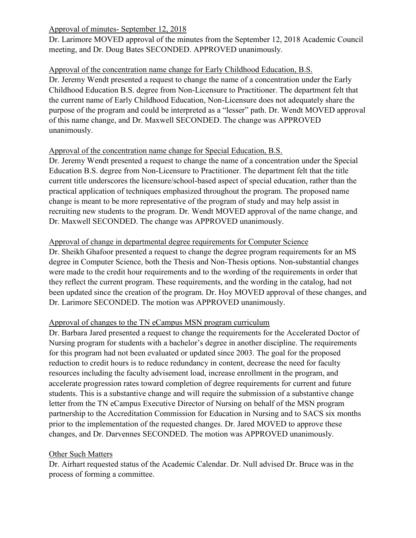### Approval of minutes- September 12, 2018

Dr. Larimore MOVED approval of the minutes from the September 12, 2018 Academic Council meeting, and Dr. Doug Bates SECONDED. APPROVED unanimously.

Approval of the concentration name change for Early Childhood Education, B.S. Dr. Jeremy Wendt presented a request to change the name of a concentration under the Early Childhood Education B.S. degree from Non-Licensure to Practitioner. The department felt that the current name of Early Childhood Education, Non-Licensure does not adequately share the purpose of the program and could be interpreted as a "lesser" path. Dr. Wendt MOVED approval of this name change, and Dr. Maxwell SECONDED. The change was APPROVED unanimously.

### Approval of the concentration name change for Special Education, B.S.

Dr. Jeremy Wendt presented a request to change the name of a concentration under the Special Education B.S. degree from Non-Licensure to Practitioner. The department felt that the title current title underscores the licensure/school-based aspect of special education, rather than the practical application of techniques emphasized throughout the program. The proposed name change is meant to be more representative of the program of study and may help assist in recruiting new students to the program. Dr. Wendt MOVED approval of the name change, and Dr. Maxwell SECONDED. The change was APPROVED unanimously.

### Approval of change in departmental degree requirements for Computer Science

Dr. Sheikh Ghafoor presented a request to change the degree program requirements for an MS degree in Computer Science, both the Thesis and Non-Thesis options. Non-substantial changes were made to the credit hour requirements and to the wording of the requirements in order that they reflect the current program. These requirements, and the wording in the catalog, had not been updated since the creation of the program. Dr. Hoy MOVED approval of these changes, and Dr. Larimore SECONDED. The motion was APPROVED unanimously.

# Approval of changes to the TN eCampus MSN program curriculum

Dr. Barbara Jared presented a request to change the requirements for the Accelerated Doctor of Nursing program for students with a bachelor's degree in another discipline. The requirements for this program had not been evaluated or updated since 2003. The goal for the proposed reduction to credit hours is to reduce redundancy in content, decrease the need for faculty resources including the faculty advisement load, increase enrollment in the program, and accelerate progression rates toward completion of degree requirements for current and future students. This is a substantive change and will require the submission of a substantive change letter from the TN eCampus Executive Director of Nursing on behalf of the MSN program partnership to the Accreditation Commission for Education in Nursing and to SACS six months prior to the implementation of the requested changes. Dr. Jared MOVED to approve these changes, and Dr. Darvennes SECONDED. The motion was APPROVED unanimously.

### Other Such Matters

Dr. Airhart requested status of the Academic Calendar. Dr. Null advised Dr. Bruce was in the process of forming a committee.